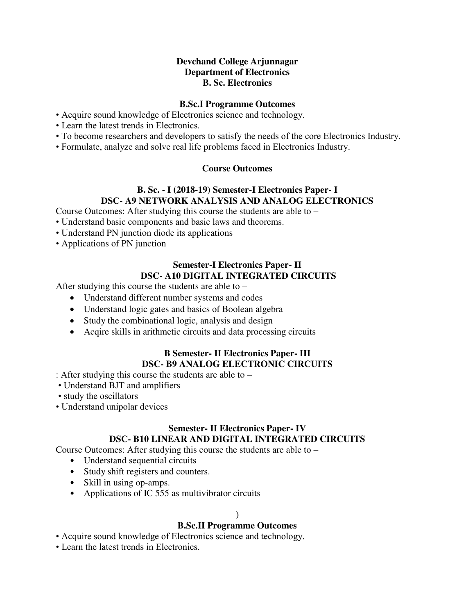### **Devchand College Arjunnagar Department of Electronics B. Sc. Electronics**

#### **B.Sc.I Programme Outcomes**

- Acquire sound knowledge of Electronics science and technology.
- Learn the latest trends in Electronics.
- To become researchers and developers to satisfy the needs of the core Electronics Industry.
- Formulate, analyze and solve real life problems faced in Electronics Industry.

#### **Course Outcomes**

### **B. Sc. - I (2018-19) Semester-I Electronics Paper- I DSC- A9 NETWORK ANALYSIS AND ANALOG ELECTRONICS**

Course Outcomes: After studying this course the students are able to –

- Understand basic components and basic laws and theorems.
- Understand PN junction diode its applications
- Applications of PN junction

# **Semester-I Electronics Paper- II DSC- A10 DIGITAL INTEGRATED CIRCUITS**

After studying this course the students are able to –

- Understand different number systems and codes
- Understand logic gates and basics of Boolean algebra
- Study the combinational logic, analysis and design
- Acqire skills in arithmetic circuits and data processing circuits

#### **B Semester- II Electronics Paper- III DSC- B9 ANALOG ELECTRONIC CIRCUITS**

: After studying this course the students are able to –

- Understand BJT and amplifiers
- study the oscillators
- Understand unipolar devices

#### **Semester- II Electronics Paper- IV DSC- B10 LINEAR AND DIGITAL INTEGRATED CIRCUITS**

Course Outcomes: After studying this course the students are able to –

- Understand sequential circuits
- Study shift registers and counters.
- Skill in using op-amps.
- Applications of IC 555 as multivibrator circuits

#### $\lambda$

## **B.Sc.II Programme Outcomes**

- Acquire sound knowledge of Electronics science and technology.
- Learn the latest trends in Electronics.